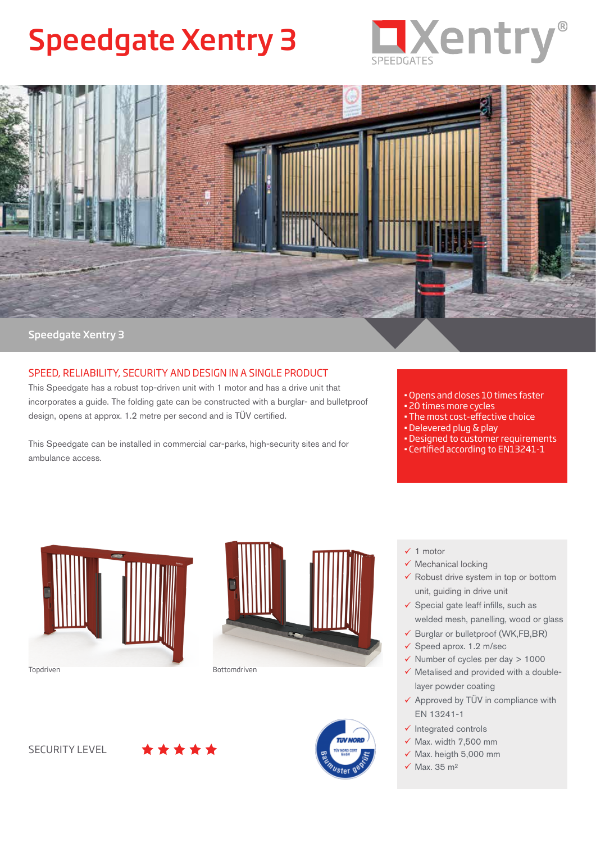# Speedgate Xentry 3





## SPEED, RELIABILITY, SECURITY AND DESIGN IN A SINGLE PRODUCT

This Speedgate has a robust top-driven unit with 1 motor and has a drive unit that incorporates a guide. The folding gate can be constructed with a burglar- and bulletproof design, opens at approx. 1.2 metre per second and is TÜV certified.

This Speedgate can be installed in commercial car-parks, high-security sites and for ambulance access.

- Opens and closes 10 times faster
- 20 times more cycles
- The most cost-effective choice
- Delevered plug & play
- Designed to customer requirements
- Certified according to EN13241-1







- $\checkmark$  1 motor
- $\checkmark$  Mechanical locking
- $\checkmark$  Robust drive system in top or bottom unit, guiding in drive unit
- $\checkmark$  Special gate leaff infills, such as welded mesh, panelling, wood or glass
- $\checkmark$  Burglar or bulletproof (WK,FB,BR)
- $\checkmark$  Speed aprox. 1.2 m/sec
- $\checkmark$  Number of cycles per day > 1000
- $\checkmark$  Metalised and provided with a doublelayer powder coating
- $\checkmark$  Approved by TÜV in compliance with EN 13241-1
- $\checkmark$  Integrated controls
- $\times$  Max. width 7,500 mm
- $\times$  Max. heigth 5,000 mm
- $\checkmark$  Max. 35 m<sup>2</sup>

SECURITY LEVEL